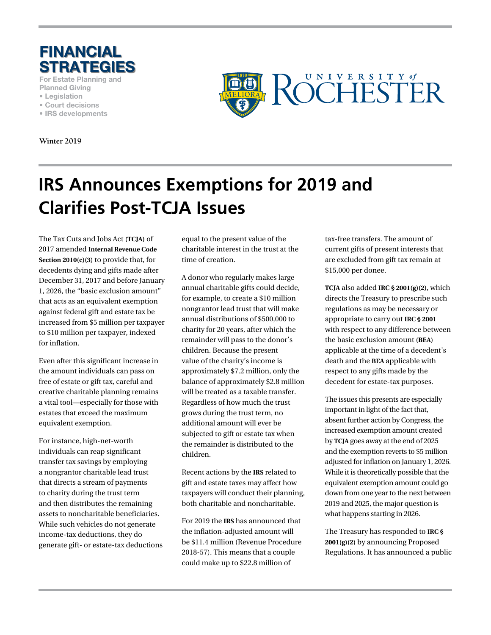

**For Estate Planning and Planned Giving**

- **Legislation**
- **Court decisions**
- **IRS developments**

**Winter 2019**



## **IRS Announces Exemptions for 2019 and Clarifies Post-TCJA Issues**

The Tax Cuts and Jobs Act **(TCJA)** of 2017 amended **Internal Revenue Code Section 2010(c)(3)** to provide that, for decedents dying and gifts made after December 31, 2017 and before January 1, 2026, the "basic exclusion amount" that acts as an equivalent exemption against federal gift and estate tax be increased from \$5 million per taxpayer to \$10 million per taxpayer, indexed for inflation.

Even after this significant increase in the amount individuals can pass on free of estate or gift tax, careful and creative charitable planning remains a vital tool—especially for those with estates that exceed the maximum equivalent exemption.

For instance, high-net-worth individuals can reap significant transfer tax savings by employing a nongrantor charitable lead trust that directs a stream of payments to charity during the trust term and then distributes the remaining assets to noncharitable beneficiaries. While such vehicles do not generate income-tax deductions, they do generate gift- or estate-tax deductions equal to the present value of the charitable interest in the trust at the time of creation.

A donor who regularly makes large annual charitable gifts could decide, for example, to create a \$10 million nongrantor lead trust that will make annual distributions of \$500,000 to charity for 20 years, after which the remainder will pass to the donor's children. Because the present value of the charity's income is approximately \$7.2 million, only the balance of approximately \$2.8 million will be treated as a taxable transfer. Regardless of how much the trust grows during the trust term, no additional amount will ever be subjected to gift or estate tax when the remainder is distributed to the children.

Recent actions by the **IRS** related to gift and estate taxes may affect how taxpayers will conduct their planning, both charitable and noncharitable.

For 2019 the **IRS** has announced that the inflation-adjusted amount will be \$11.4 million (Revenue Procedure 2018-57). This means that a couple could make up to \$22.8 million of

tax-free transfers. The amount of current gifts of present interests that are excluded from gift tax remain at \$15,000 per donee.

**TCJA** also added **IRC § 2001(g)(2)**, which directs the Treasury to prescribe such regulations as may be necessary or appropriate to carry out **IRC § 2001** with respect to any difference between the basic exclusion amount **(BEA)** applicable at the time of a decedent's death and the **BEA** applicable with respect to any gifts made by the decedent for estate-tax purposes.

The issues this presents are especially important in light of the fact that, absent further action by Congress, the increased exemption amount created by **TCJA** goes away at the end of 2025 and the exemption reverts to \$5 million adjusted for inflation on January 1, 2026. While it is theoretically possible that the equivalent exemption amount could go down from one year to the next between 2019 and 2025, the major question is what happens starting in 2026.

The Treasury has responded to **IRC § 2001(g)(2)** by announcing Proposed Regulations. It has announced a public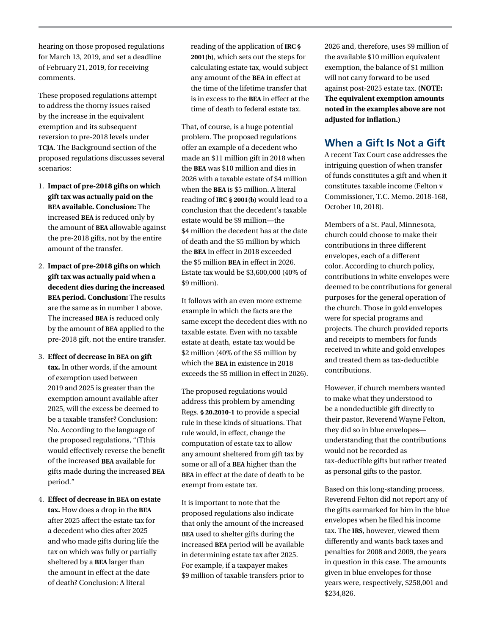hearing on those proposed regulations for March 13, 2019, and set a deadline of February 21, 2019, for receiving comments.

These proposed regulations attempt to address the thorny issues raised by the increase in the equivalent exemption and its subsequent reversion to pre-2018 levels under **TCJA**. The Background section of the proposed regulations discusses several scenarios:

- 1. **Impact of pre-2018 gifts on which gift tax was actually paid on the BEA available. Conclusion:** The increased **BEA** is reduced only by the amount of **BEA** allowable against the pre-2018 gifts, not by the entire amount of the transfer.
- 2. **Impact of pre-2018 gifts on which gift tax was actually paid when a decedent dies during the increased BEA period. Conclusion:** The results are the same as in number 1 above. The increased **BEA** is reduced only by the amount of **BEA** applied to the pre-2018 gift, not the entire transfer.
- 3. **Effect of decrease in BEA on gift tax.** In other words, if the amount of exemption used between 2019 and 2025 is greater than the exemption amount available after 2025, will the excess be deemed to be a taxable transfer? Conclusion: No. According to the language of the proposed regulations, "(T)his would effectively reverse the benefit of the increased **BEA** available for gifts made during the increased **BEA** period."
- 4. **Effect of decrease in BEA on estate tax.** How does a drop in the **BEA** after 2025 affect the estate tax for a decedent who dies after 2025 and who made gifts during life the tax on which was fully or partially sheltered by a **BEA** larger than the amount in effect at the date of death? Conclusion: A literal

reading of the application of **IRC § 2001(b)**, which sets out the steps for calculating estate tax, would subject any amount of the **BEA** in effect at the time of the lifetime transfer that is in excess to the **BEA** in effect at the time of death to federal estate tax.

That, of course, is a huge potential problem. The proposed regulations offer an example of a decedent who made an \$11 million gift in 2018 when the **BEA** was \$10 million and dies in 2026 with a taxable estate of \$4 million when the **BEA** is \$5 million. A literal reading of **IRC § 2001(b)** would lead to a conclusion that the decedent's taxable estate would be \$9 million—the \$4 million the decedent has at the date of death and the \$5 million by which the **BEA** in effect in 2018 exceeded the \$5 million **BEA** in effect in 2026. Estate tax would be \$3,600,000 (40% of \$9 million).

It follows with an even more extreme example in which the facts are the same except the decedent dies with no taxable estate. Even with no taxable estate at death, estate tax would be \$2 million (40% of the \$5 million by which the **BEA** in existence in 2018 exceeds the \$5 million in effect in 2026).

The proposed regulations would address this problem by amending Regs. **§ 20.2010-1** to provide a special rule in these kinds of situations. That rule would, in effect, change the computation of estate tax to allow any amount sheltered from gift tax by some or all of a **BEA** higher than the **BEA** in effect at the date of death to be exempt from estate tax.

It is important to note that the proposed regulations also indicate that only the amount of the increased **BEA** used to shelter gifts during the increased **BEA** period will be available in determining estate tax after 2025. For example, if a taxpayer makes \$9 million of taxable transfers prior to

2026 and, therefore, uses \$9 million of the available \$10 million equivalent exemption, the balance of \$1 million will not carry forward to be used against post-2025 estate tax. **(NOTE: The equivalent exemption amounts noted in the examples above are not adjusted for inflation.)**

## **When a Gift Is Not a Gift**

A recent Tax Court case addresses the intriguing question of when transfer of funds constitutes a gift and when it constitutes taxable income (Felton v Commissioner, T.C. Memo. 2018-168, October 10, 2018).

Members of a St. Paul, Minnesota, church could choose to make their contributions in three different envelopes, each of a different color. According to church policy, contributions in white envelopes were deemed to be contributions for general purposes for the general operation of the church. Those in gold envelopes were for special programs and projects. The church provided reports and receipts to members for funds received in white and gold envelopes and treated them as tax-deductible contributions.

However, if church members wanted to make what they understood to be a nondeductible gift directly to their pastor, Reverend Wayne Felton, they did so in blue envelopes understanding that the contributions would not be recorded as tax-deductible gifts but rather treated as personal gifts to the pastor.

Based on this long-standing process, Reverend Felton did not report any of the gifts earmarked for him in the blue envelopes when he filed his income tax. The **IRS**, however, viewed them differently and wants back taxes and penalties for 2008 and 2009, the years in question in this case. The amounts given in blue envelopes for those years were, respectively, \$258,001 and \$234,826.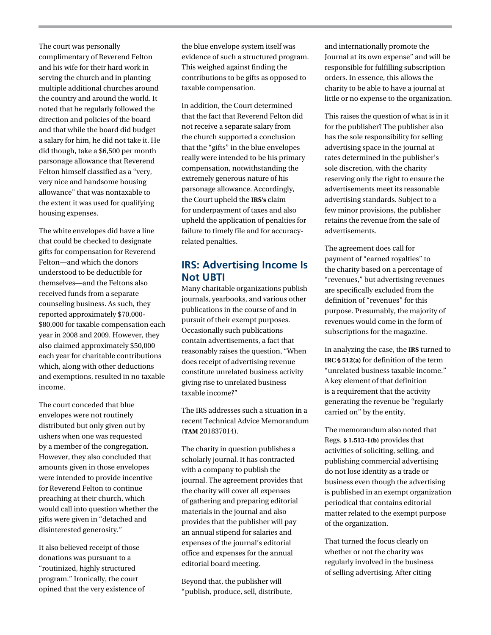The court was personally complimentary of Reverend Felton and his wife for their hard work in serving the church and in planting multiple additional churches around the country and around the world. It noted that he regularly followed the direction and policies of the board and that while the board did budget a salary for him, he did not take it. He did though, take a \$6,500 per month parsonage allowance that Reverend Felton himself classified as a "very, very nice and handsome housing allowance" that was nontaxable to the extent it was used for qualifying housing expenses.

The white envelopes did have a line that could be checked to designate gifts for compensation for Reverend Felton—and which the donors understood to be deductible for themselves—and the Feltons also received funds from a separate counseling business. As such, they reported approximately \$70,000- \$80,000 for taxable compensation each year in 2008 and 2009. However, they also claimed approximately \$50,000 each year for charitable contributions which, along with other deductions and exemptions, resulted in no taxable income.

The court conceded that blue envelopes were not routinely distributed but only given out by ushers when one was requested by a member of the congregation. However, they also concluded that amounts given in those envelopes were intended to provide incentive for Reverend Felton to continue preaching at their church, which would call into question whether the gifts were given in "detached and disinterested generosity."

It also believed receipt of those donations was pursuant to a "routinized, highly structured program." Ironically, the court opined that the very existence of the blue envelope system itself was evidence of such a structured program. This weighed against finding the contributions to be gifts as opposed to taxable compensation.

In addition, the Court determined that the fact that Reverend Felton did not receive a separate salary from the church supported a conclusion that the "gifts" in the blue envelopes really were intended to be his primary compensation, notwithstanding the extremely generous nature of his parsonage allowance. Accordingly, the Court upheld the **IRS's** claim for underpayment of taxes and also upheld the application of penalties for failure to timely file and for accuracyrelated penalties.

## **IRS: Advertising Income Is Not UBTI**

Many charitable organizations publish journals, yearbooks, and various other publications in the course of and in pursuit of their exempt purposes. Occasionally such publications contain advertisements, a fact that reasonably raises the question, "When does receipt of advertising revenue constitute unrelated business activity giving rise to unrelated business taxable income?"

The IRS addresses such a situation in a recent Technical Advice Memorandum (**TAM** 201837014).

The charity in question publishes a scholarly journal. It has contracted with a company to publish the journal. The agreement provides that the charity will cover all expenses of gathering and preparing editorial materials in the journal and also provides that the publisher will pay an annual stipend for salaries and expenses of the journal's editorial office and expenses for the annual editorial board meeting.

Beyond that, the publisher will "publish, produce, sell, distribute,

and internationally promote the Journal at its own expense" and will be responsible for fulfilling subscription orders. In essence, this allows the charity to be able to have a journal at little or no expense to the organization.

This raises the question of what is in it for the publisher? The publisher also has the sole responsibility for selling advertising space in the journal at rates determined in the publisher's sole discretion, with the charity reserving only the right to ensure the advertisements meet its reasonable advertising standards. Subject to a few minor provisions, the publisher retains the revenue from the sale of advertisements.

The agreement does call for payment of "earned royalties" to the charity based on a percentage of "revenues," but advertising revenues are specifically excluded from the definition of "revenues" for this purpose. Presumably, the majority of revenues would come in the form of subscriptions for the magazine.

In analyzing the case, the **IRS** turned to **IRC § 512(a)** for definition of the term "unrelated business taxable income." A key element of that definition is a requirement that the activity generating the revenue be "regularly carried on" by the entity.

The memorandum also noted that Regs. **§ 1.513-1(b)** provides that activities of soliciting, selling, and publishing commercial advertising do not lose identity as a trade or business even though the advertising is published in an exempt organization periodical that contains editorial matter related to the exempt purpose of the organization.

That turned the focus clearly on whether or not the charity was regularly involved in the business of selling advertising. After citing